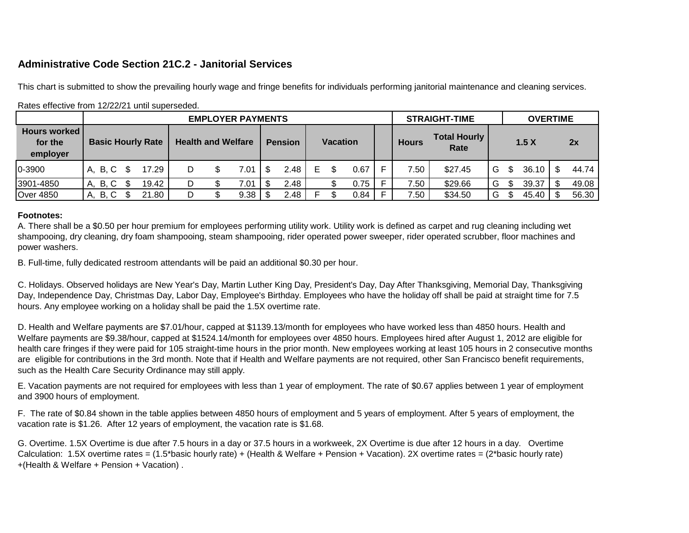## **Administrative Code Section 21C.2 - Janitorial Services**

This chart is submitted to show the prevailing hourly wage and fringe benefits for individuals performing janitorial maintenance and cleaning services.

|                                            | <b>EMPLOYER PAYMENTS</b> |                           |   |  |                |     |                 |   |  |              |                             |      | <b>STRAIGHT-TIME</b> |   | <b>OVERTIME</b> |       |  |       |
|--------------------------------------------|--------------------------|---------------------------|---|--|----------------|-----|-----------------|---|--|--------------|-----------------------------|------|----------------------|---|-----------------|-------|--|-------|
| <b>Hours worked</b><br>for the<br>employer | <b>Basic Hourly Rate</b> | <b>Health and Welfare</b> |   |  | <b>Pension</b> |     | <b>Vacation</b> |   |  | <b>Hours</b> | <b>Total Hourly</b><br>Rate | 1.5X |                      |   | 2x              |       |  |       |
| 0-3900                                     | A. B. C                  | 17.29                     | D |  | 7.01           | \$. | 2.48            | Е |  | 0.67         |                             | 7.50 | \$27.45              | G | \$.             | 36.10 |  | 44.74 |
| 3901-4850                                  | <b>B.C</b><br>А.         | 19.42                     | D |  | 7.01           |     | 2.48            |   |  | 0.75         |                             | 7.50 | \$29.66              | G | \$.             | 39.37 |  | 49.08 |
| <b>Over 4850</b>                           | <b>B, C</b><br>А.        | 21.80                     | D |  | 9.38           |     | 2.48            |   |  | 0.84         |                             | 7.50 | \$34.50              | G | \$.             | 45.40 |  | 56.30 |

## Rates effective from 12/22/21 until superseded.

## **Footnotes:**

A. There shall be a \$0.50 per hour premium for employees performing utility work. Utility work is defined as carpet and rug cleaning including wet shampooing, dry cleaning, dry foam shampooing, steam shampooing, rider operated power sweeper, rider operated scrubber, floor machines and power washers.

B. Full-time, fully dedicated restroom attendants will be paid an additional \$0.30 per hour.

C. Holidays. Observed holidays are New Year's Day, Martin Luther King Day, President's Day, Day After Thanksgiving, Memorial Day, Thanksgiving Day, Independence Day, Christmas Day, Labor Day, Employee's Birthday. Employees who have the holiday off shall be paid at straight time for 7.5 hours. Any employee working on a holiday shall be paid the 1.5X overtime rate.

D. Health and Welfare payments are \$7.01/hour, capped at \$1139.13/month for employees who have worked less than 4850 hours. Health and Welfare payments are \$9.38/hour, capped at \$1524.14/month for employees over 4850 hours. Employees hired after August 1, 2012 are eligible for health care fringes if they were paid for 105 straight-time hours in the prior month. New employees working at least 105 hours in 2 consecutive months are eligible for contributions in the 3rd month. Note that if Health and Welfare payments are not required, other San Francisco benefit requirements, such as the Health Care Security Ordinance may still apply.

E. Vacation payments are not required for employees with less than 1 year of employment. The rate of \$0.67 applies between 1 year of employment and 3900 hours of employment.

F. The rate of \$0.84 shown in the table applies between 4850 hours of employment and 5 years of employment. After 5 years of employment, the vacation rate is \$1.26. After 12 years of employment, the vacation rate is \$1.68.

G. Overtime. 1.5X Overtime is due after 7.5 hours in a day or 37.5 hours in a workweek, 2X Overtime is due after 12 hours in a day. Overtime Calculation: 1.5X overtime rates = (1.5\*basic hourly rate) + (Health & Welfare + Pension + Vacation). 2X overtime rates = (2\*basic hourly rate) +(Health & Welfare + Pension + Vacation) .